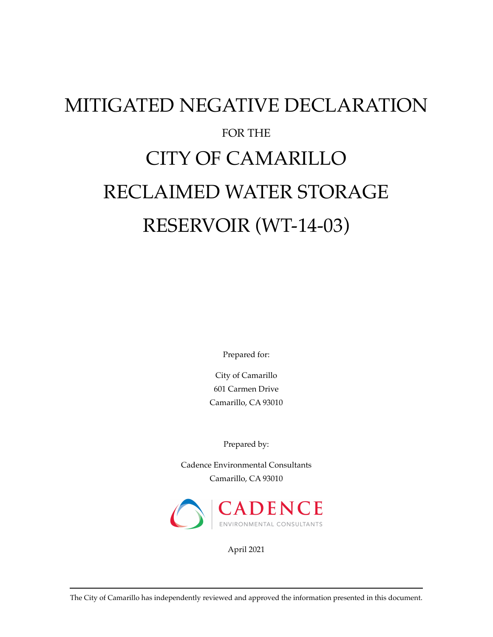# MITIGATED NEGATIVE DECLARATION FOR THE CITY OF CAMARILLO RECLAIMED WATER STORAGE RESERVOIR (WT-14-03)

Prepared for:

City of Camarillo 601 Carmen Drive Camarillo, CA 93010

Prepared by:

Cadence Environmental Consultants Camarillo, CA 93010



April 2021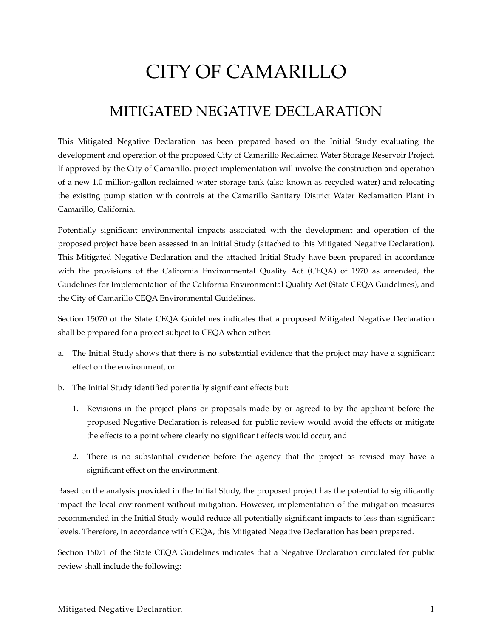## CITY OF CAMARILLO

### MITIGATED NEGATIVE DECLARATION

This Mitigated Negative Declaration has been prepared based on the Initial Study evaluating the development and operation of the proposed City of Camarillo Reclaimed Water Storage Reservoir Project. If approved by the City of Camarillo, project implementation will involve the construction and operation of a new 1.0 million-gallon reclaimed water storage tank (also known as recycled water) and relocating the existing pump station with controls at the Camarillo Sanitary District Water Reclamation Plant in Camarillo, California.

Potentially significant environmental impacts associated with the development and operation of the proposed project have been assessed in an Initial Study (attached to this Mitigated Negative Declaration). This Mitigated Negative Declaration and the attached Initial Study have been prepared in accordance with the provisions of the California Environmental Quality Act (CEQA) of 1970 as amended, the Guidelines for Implementation of the California Environmental Quality Act (State CEQA Guidelines), and the City of Camarillo CEQA Environmental Guidelines.

Section 15070 of the State CEQA Guidelines indicates that a proposed Mitigated Negative Declaration shall be prepared for a project subject to CEQA when either:

- a. The Initial Study shows that there is no substantial evidence that the project may have a significant effect on the environment, or
- b. The Initial Study identified potentially significant effects but:
	- 1. Revisions in the project plans or proposals made by or agreed to by the applicant before the proposed Negative Declaration is released for public review would avoid the effects or mitigate the effects to a point where clearly no significant effects would occur, and
	- 2. There is no substantial evidence before the agency that the project as revised may have a significant effect on the environment.

Based on the analysis provided in the Initial Study, the proposed project has the potential to significantly impact the local environment without mitigation. However, implementation of the mitigation measures recommended in the Initial Study would reduce all potentially significant impacts to less than significant levels. Therefore, in accordance with CEQA, this Mitigated Negative Declaration has been prepared.

Section 15071 of the State CEQA Guidelines indicates that a Negative Declaration circulated for public review shall include the following: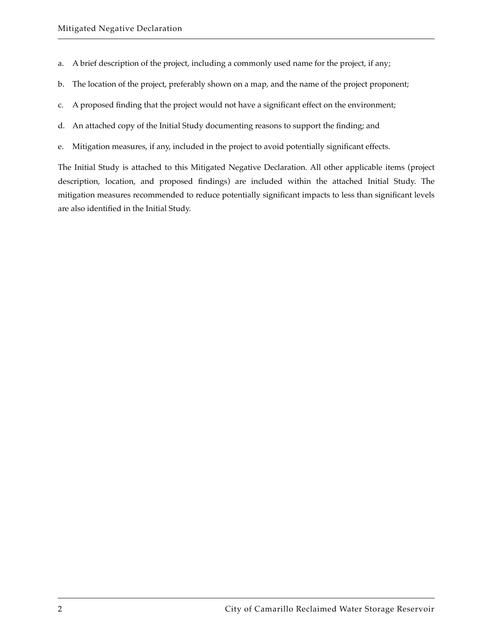- a. A brief description of the project, including a commonly used name for the project, if any;
- b. The location of the project, preferably shown on a map, and the name of the project proponent;
- c. A proposed finding that the project would not have a significant effect on the environment;
- d. An attached copy of the Initial Study documenting reasons to support the finding; and
- e. Mitigation measures, if any, included in the project to avoid potentially significant effects.

The Initial Study is attached to this Mitigated Negative Declaration. All other applicable items (project description, location, and proposed findings) are included within the attached Initial Study. The mitigation measures recommended to reduce potentially significant impacts to less than significant levels are also identified in the Initial Study.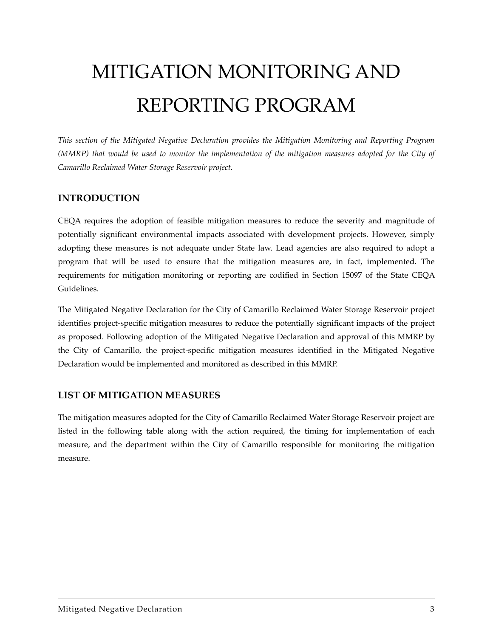## MITIGATION MONITORING AND REPORTING PROGRAM

*This section of the Mitigated Negative Declaration provides the Mitigation Monitoring and Reporting Program (MMRP) that would be used to monitor the implementation of the mitigation measures adopted for the City of Camarillo Reclaimed Water Storage Reservoir project.* 

### **INTRODUCTION**

CEQA requires the adoption of feasible mitigation measures to reduce the severity and magnitude of potentially significant environmental impacts associated with development projects. However, simply adopting these measures is not adequate under State law. Lead agencies are also required to adopt a program that will be used to ensure that the mitigation measures are, in fact, implemented. The requirements for mitigation monitoring or reporting are codified in Section 15097 of the State CEQA Guidelines.

The Mitigated Negative Declaration for the City of Camarillo Reclaimed Water Storage Reservoir project identifies project-specific mitigation measures to reduce the potentially significant impacts of the project as proposed. Following adoption of the Mitigated Negative Declaration and approval of this MMRP by the City of Camarillo, the project-specific mitigation measures identified in the Mitigated Negative Declaration would be implemented and monitored as described in this MMRP.

### **LIST OF MITIGATION MEASURES**

The mitigation measures adopted for the City of Camarillo Reclaimed Water Storage Reservoir project are listed in the following table along with the action required, the timing for implementation of each measure, and the department within the City of Camarillo responsible for monitoring the mitigation measure.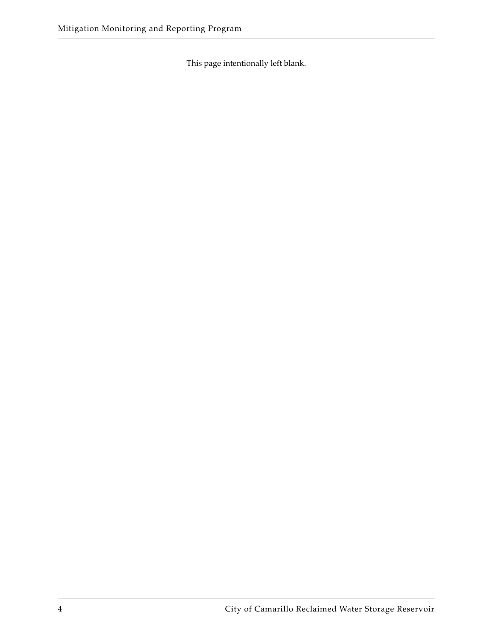This page intentionally left blank.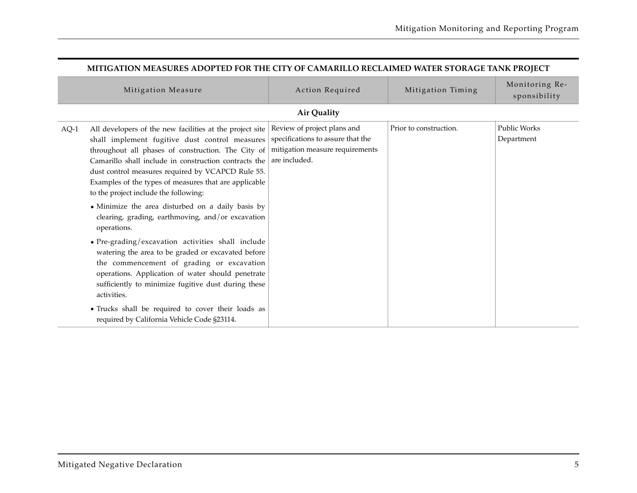|        | MITIONITON MENOCKES NDOI TED TOK THE CITT OF CHMINKEEO KECENIMED MITER STORING HIN INOJECT                                                                                                                                                                                                                                                                                                                                                                                                                                                                                                                                                                                                                                                                                    |                                                                                                                      |                        |                                   |
|--------|-------------------------------------------------------------------------------------------------------------------------------------------------------------------------------------------------------------------------------------------------------------------------------------------------------------------------------------------------------------------------------------------------------------------------------------------------------------------------------------------------------------------------------------------------------------------------------------------------------------------------------------------------------------------------------------------------------------------------------------------------------------------------------|----------------------------------------------------------------------------------------------------------------------|------------------------|-----------------------------------|
|        | Mitigation Measure                                                                                                                                                                                                                                                                                                                                                                                                                                                                                                                                                                                                                                                                                                                                                            | Action Required                                                                                                      | Mitigation Timing      | Monitoring Re-<br>sponsibility    |
|        |                                                                                                                                                                                                                                                                                                                                                                                                                                                                                                                                                                                                                                                                                                                                                                               | <b>Air Quality</b>                                                                                                   |                        |                                   |
| $AQ-1$ | All developers of the new facilities at the project site<br>shall implement fugitive dust control measures<br>throughout all phases of construction. The City of<br>Camarillo shall include in construction contracts the<br>dust control measures required by VCAPCD Rule 55.<br>Examples of the types of measures that are applicable<br>to the project include the following:<br>• Minimize the area disturbed on a daily basis by<br>clearing, grading, earthmoving, and/or excavation<br>operations.<br>· Pre-grading/excavation activities shall include<br>watering the area to be graded or excavated before<br>the commencement of grading or excavation<br>operations. Application of water should penetrate<br>sufficiently to minimize fugitive dust during these | Review of project plans and<br>specifications to assure that the<br>mitigation measure requirements<br>are included. | Prior to construction. | <b>Public Works</b><br>Department |
|        | activities.<br>• Trucks shall be required to cover their loads as<br>required by California Vehicle Code §23114.                                                                                                                                                                                                                                                                                                                                                                                                                                                                                                                                                                                                                                                              |                                                                                                                      |                        |                                   |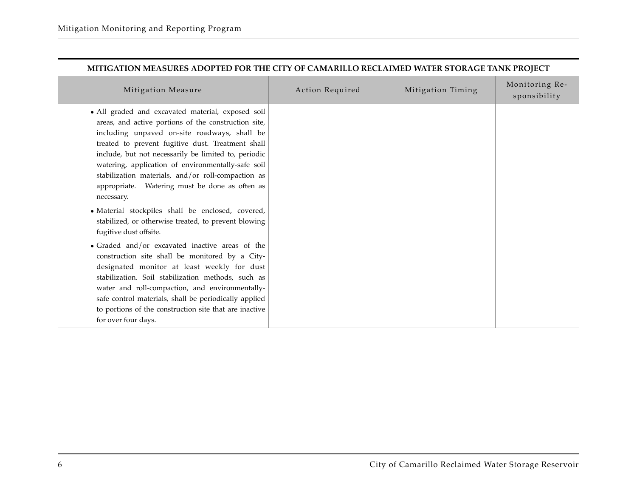| Mitigation Measure                                                                                                                                                                                                                                                                                                                                                                                                                                 | Action Required | Mitigation Timing | Monitoring Re-<br>sponsibility |
|----------------------------------------------------------------------------------------------------------------------------------------------------------------------------------------------------------------------------------------------------------------------------------------------------------------------------------------------------------------------------------------------------------------------------------------------------|-----------------|-------------------|--------------------------------|
| · All graded and excavated material, exposed soil<br>areas, and active portions of the construction site,<br>including unpaved on-site roadways, shall be<br>treated to prevent fugitive dust. Treatment shall<br>include, but not necessarily be limited to, periodic<br>watering, application of environmentally-safe soil<br>stabilization materials, and/or roll-compaction as<br>appropriate. Watering must be done as often as<br>necessary. |                 |                   |                                |
| · Material stockpiles shall be enclosed, covered,<br>stabilized, or otherwise treated, to prevent blowing<br>fugitive dust offsite.                                                                                                                                                                                                                                                                                                                |                 |                   |                                |
| • Graded and/or excavated inactive areas of the<br>construction site shall be monitored by a City-<br>designated monitor at least weekly for dust<br>stabilization. Soil stabilization methods, such as<br>water and roll-compaction, and environmentally-<br>safe control materials, shall be periodically applied<br>to portions of the construction site that are inactive<br>for over four days.                                               |                 |                   |                                |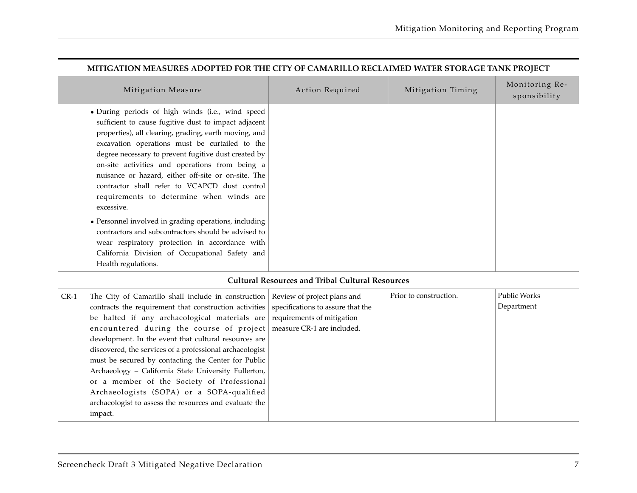| Mitigation Measure                                                                                                                                                                                                                                                                                                                                                                                                                                                                              | Action Required | Mitigation Timing | Monitoring Re-<br>sponsibility |
|-------------------------------------------------------------------------------------------------------------------------------------------------------------------------------------------------------------------------------------------------------------------------------------------------------------------------------------------------------------------------------------------------------------------------------------------------------------------------------------------------|-----------------|-------------------|--------------------------------|
| · During periods of high winds (i.e., wind speed<br>sufficient to cause fugitive dust to impact adjacent<br>properties), all clearing, grading, earth moving, and<br>excavation operations must be curtailed to the<br>degree necessary to prevent fugitive dust created by<br>on-site activities and operations from being a<br>nuisance or hazard, either off-site or on-site. The<br>contractor shall refer to VCAPCD dust control<br>requirements to determine when winds are<br>excessive. |                 |                   |                                |
| • Personnel involved in grading operations, including<br>contractors and subcontractors should be advised to<br>wear respiratory protection in accordance with<br>California Division of Occupational Safety and<br>Health regulations.                                                                                                                                                                                                                                                         |                 |                   |                                |

### **Cultural Resources and Tribal Cultural Resources**

| $CR-1$ | The City of Camarillo shall include in construction Review of project plans and |                                   | Prior to construction. | Public Works |
|--------|---------------------------------------------------------------------------------|-----------------------------------|------------------------|--------------|
|        | contracts the requirement that construction activities                          | specifications to assure that the |                        | Department   |
|        | be halted if any archaeological materials are                                   | requirements of mitigation        |                        |              |
|        | encountered during the course of project measure CR-1 are included.             |                                   |                        |              |
|        | development. In the event that cultural resources are                           |                                   |                        |              |
|        | discovered, the services of a professional archaeologist                        |                                   |                        |              |
|        | must be secured by contacting the Center for Public                             |                                   |                        |              |
|        | Archaeology - California State University Fullerton,                            |                                   |                        |              |
|        | or a member of the Society of Professional                                      |                                   |                        |              |
|        | Archaeologists (SOPA) or a SOPA-qualified                                       |                                   |                        |              |
|        | archaeologist to assess the resources and evaluate the                          |                                   |                        |              |
|        | impact.                                                                         |                                   |                        |              |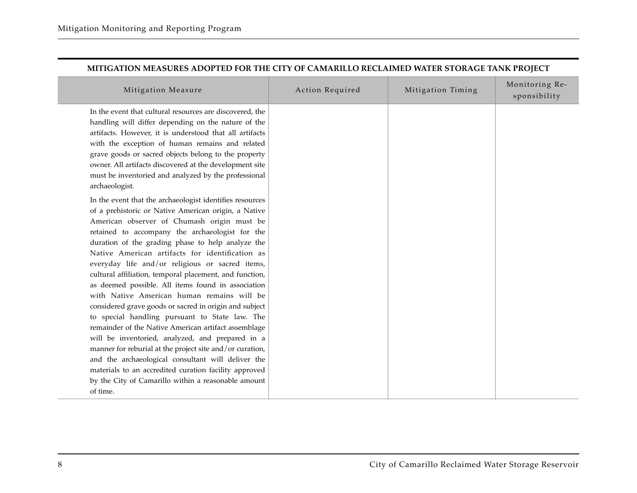| Mitigation Measure                                       | Action Required | Mitigation Timing | Monitoring Re-<br>sponsibility |
|----------------------------------------------------------|-----------------|-------------------|--------------------------------|
| In the event that cultural resources are discovered, the |                 |                   |                                |
| handling will differ depending on the nature of the      |                 |                   |                                |
| artifacts. However, it is understood that all artifacts  |                 |                   |                                |
| with the exception of human remains and related          |                 |                   |                                |
| grave goods or sacred objects belong to the property     |                 |                   |                                |
| owner. All artifacts discovered at the development site  |                 |                   |                                |
| must be inventoried and analyzed by the professional     |                 |                   |                                |
| archaeologist.                                           |                 |                   |                                |
| In the event that the archaeologist identifies resources |                 |                   |                                |
| of a prehistoric or Native American origin, a Native     |                 |                   |                                |
| American observer of Chumash origin must be              |                 |                   |                                |
| retained to accompany the archaeologist for the          |                 |                   |                                |
| duration of the grading phase to help analyze the        |                 |                   |                                |
| Native American artifacts for identification as          |                 |                   |                                |
| everyday life and/or religious or sacred items,          |                 |                   |                                |
| cultural affiliation, temporal placement, and function,  |                 |                   |                                |
| as deemed possible. All items found in association       |                 |                   |                                |
| with Native American human remains will be               |                 |                   |                                |
| considered grave goods or sacred in origin and subject   |                 |                   |                                |
| to special handling pursuant to State law. The           |                 |                   |                                |
| remainder of the Native American artifact assemblage     |                 |                   |                                |
| will be inventoried, analyzed, and prepared in a         |                 |                   |                                |
| manner for reburial at the project site and/or curation, |                 |                   |                                |
| and the archaeological consultant will deliver the       |                 |                   |                                |
| materials to an accredited curation facility approved    |                 |                   |                                |
| by the City of Camarillo within a reasonable amount      |                 |                   |                                |
| of time.                                                 |                 |                   |                                |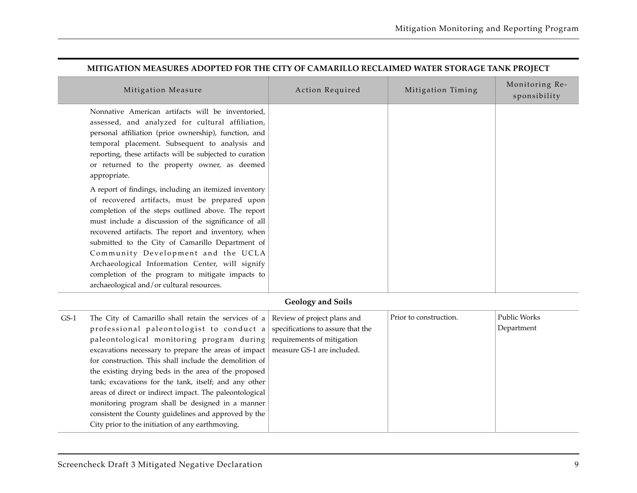|        | Mitigation Measure                                                                                                                                                                                                                                                                                                                                                                                                                                                                                                                                      | Action Required                                                                                                              | Mitigation Timing      | Monitoring Re-<br>sponsibility |
|--------|---------------------------------------------------------------------------------------------------------------------------------------------------------------------------------------------------------------------------------------------------------------------------------------------------------------------------------------------------------------------------------------------------------------------------------------------------------------------------------------------------------------------------------------------------------|------------------------------------------------------------------------------------------------------------------------------|------------------------|--------------------------------|
|        | Nonnative American artifacts will be inventoried,<br>assessed, and analyzed for cultural affiliation,<br>personal affiliation (prior ownership), function, and<br>temporal placement. Subsequent to analysis and<br>reporting, these artifacts will be subjected to curation<br>or returned to the property owner, as deemed<br>appropriate.                                                                                                                                                                                                            |                                                                                                                              |                        |                                |
|        | A report of findings, including an itemized inventory<br>of recovered artifacts, must be prepared upon<br>completion of the steps outlined above. The report<br>must include a discussion of the significance of all<br>recovered artifacts. The report and inventory, when<br>submitted to the City of Camarillo Department of<br>Community Development and the UCLA<br>Archaeological Information Center, will signify<br>completion of the program to mitigate impacts to<br>archaeological and/or cultural resources.                               |                                                                                                                              |                        |                                |
|        |                                                                                                                                                                                                                                                                                                                                                                                                                                                                                                                                                         | <b>Geology and Soils</b>                                                                                                     |                        |                                |
| $GS-1$ | The City of Camarillo shall retain the services of a<br>professional paleontologist to conduct a<br>paleontological monitoring program during<br>excavations necessary to prepare the areas of impact<br>for construction. This shall include the demolition of<br>the existing drying beds in the area of the proposed<br>tank; excavations for the tank, itself; and any other<br>areas of direct or indirect impact. The paleontological<br>monitoring program shall be designed in a manner<br>consistent the County guidelines and approved by the | Review of project plans and<br>specifications to assure that the<br>requirements of mitigation<br>measure GS-1 are included. | Prior to construction. | Public Works<br>Department     |

City prior to the initiation of any earthmoving.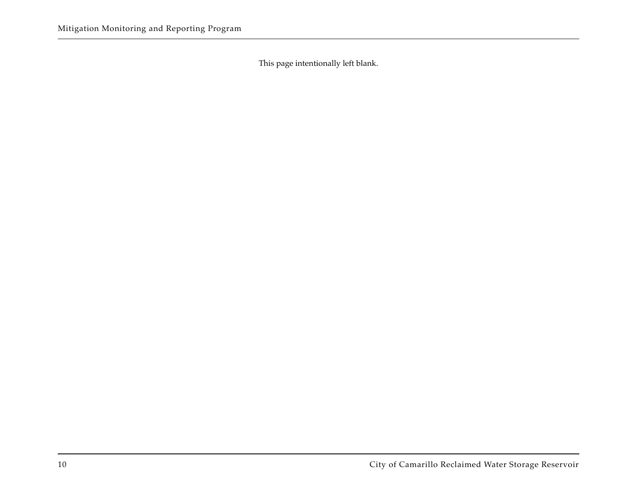This page intentionally left blank.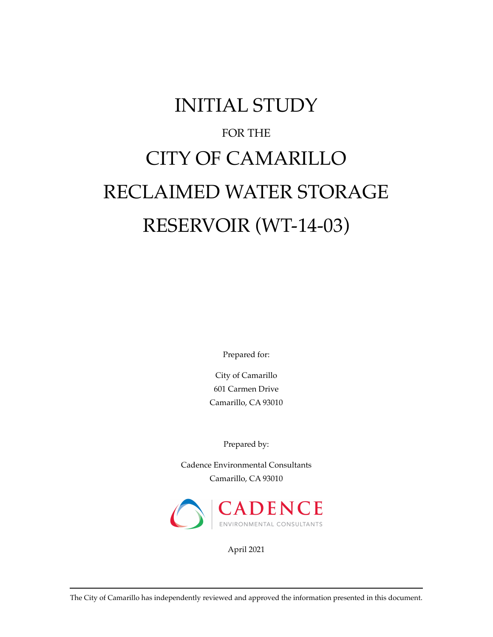# INITIAL STUDY FOR THE CITY OF CAMARILLO RECLAIMED WATER STORAGE RESERVOIR (WT-14-03)

Prepared for:

City of Camarillo 601 Carmen Drive Camarillo, CA 93010

Prepared by:

Cadence Environmental Consultants Camarillo, CA 93010



April 2021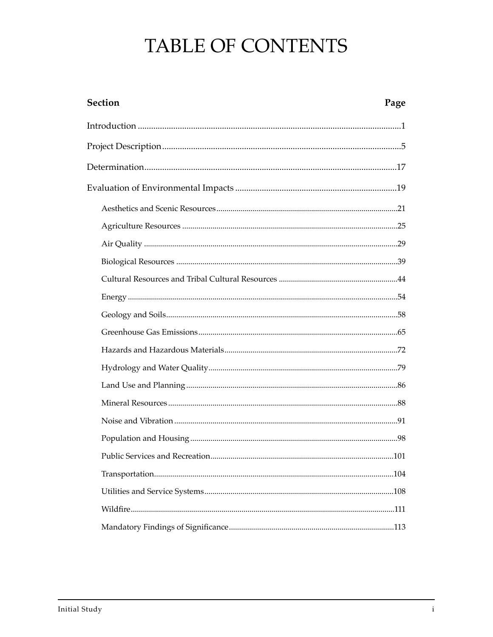## TABLE OF CONTENTS

| <b>Section</b> | Page |
|----------------|------|
|                |      |
|                |      |
|                |      |
|                |      |
|                |      |
|                |      |
|                |      |
|                |      |
|                |      |
|                |      |
|                |      |
|                |      |
|                |      |
|                |      |
|                |      |
|                |      |
|                |      |
|                |      |
|                | .101 |
|                |      |
|                |      |
|                |      |
|                |      |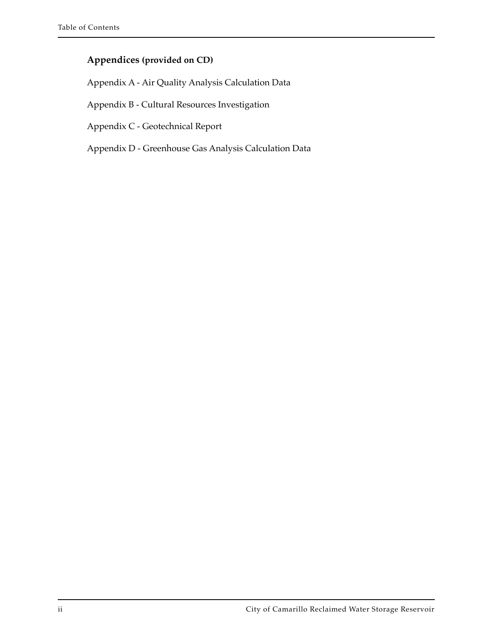### **Appendices (provided on CD)**

Appendix A - Air Quality Analysis Calculation Data

Appendix B - Cultural Resources Investigation

Appendix C - Geotechnical Report

Appendix D - Greenhouse Gas Analysis Calculation Data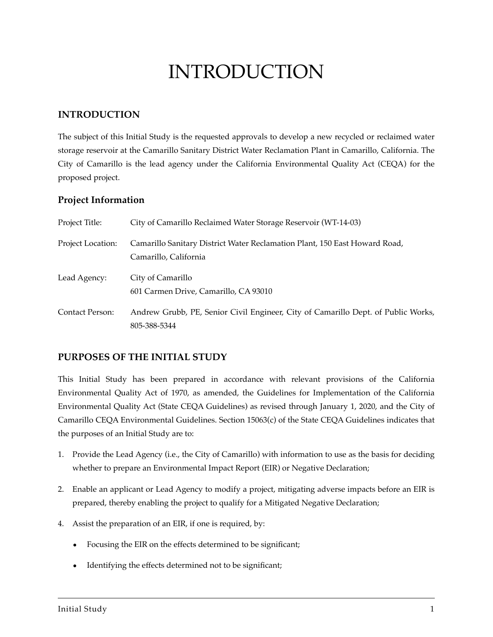### INTRODUCTION

### **INTRODUCTION**

The subject of this Initial Study is the requested approvals to develop a new recycled or reclaimed water storage reservoir at the Camarillo Sanitary District Water Reclamation Plant in Camarillo, California. The City of Camarillo is the lead agency under the California Environmental Quality Act (CEQA) for the proposed project.

### **Project Information**

| Project Title:           | City of Camarillo Reclaimed Water Storage Reservoir (WT-14-03)                                      |
|--------------------------|-----------------------------------------------------------------------------------------------------|
| <b>Project Location:</b> | Camarillo Sanitary District Water Reclamation Plant, 150 East Howard Road,<br>Camarillo, California |
| Lead Agency:             | City of Camarillo<br>601 Carmen Drive, Camarillo, CA 93010                                          |
| Contact Person:          | Andrew Grubb, PE, Senior Civil Engineer, City of Camarillo Dept. of Public Works,<br>805-388-5344   |

### **PURPOSES OF THE INITIAL STUDY**

This Initial Study has been prepared in accordance with relevant provisions of the California Environmental Quality Act of 1970, as amended, the Guidelines for Implementation of the California Environmental Quality Act (State CEQA Guidelines) as revised through January 1, 2020, and the City of Camarillo CEQA Environmental Guidelines. Section 15063(c) of the State CEQA Guidelines indicates that the purposes of an Initial Study are to:

- 1. Provide the Lead Agency (i.e., the City of Camarillo) with information to use as the basis for deciding whether to prepare an Environmental Impact Report (EIR) or Negative Declaration;
- 2. Enable an applicant or Lead Agency to modify a project, mitigating adverse impacts before an EIR is prepared, thereby enabling the project to qualify for a Mitigated Negative Declaration;
- 4. Assist the preparation of an EIR, if one is required, by:
	- Focusing the EIR on the effects determined to be significant;
	- Identifying the effects determined not to be significant;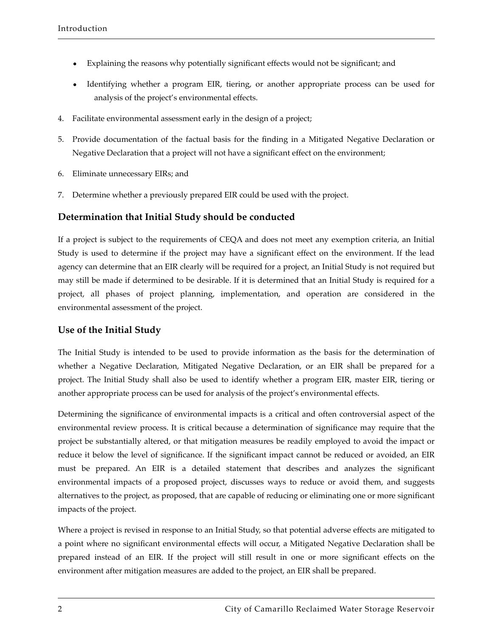- Explaining the reasons why potentially significant effects would not be significant; and
- Identifying whether a program EIR, tiering, or another appropriate process can be used for analysis of the project's environmental effects.
- 4. Facilitate environmental assessment early in the design of a project;
- 5. Provide documentation of the factual basis for the finding in a Mitigated Negative Declaration or Negative Declaration that a project will not have a significant effect on the environment;
- 6. Eliminate unnecessary EIRs; and
- 7. Determine whether a previously prepared EIR could be used with the project.

### **Determination that Initial Study should be conducted**

If a project is subject to the requirements of CEQA and does not meet any exemption criteria, an Initial Study is used to determine if the project may have a significant effect on the environment. If the lead agency can determine that an EIR clearly will be required for a project, an Initial Study is not required but may still be made if determined to be desirable. If it is determined that an Initial Study is required for a project, all phases of project planning, implementation, and operation are considered in the environmental assessment of the project.

### **Use of the Initial Study**

The Initial Study is intended to be used to provide information as the basis for the determination of whether a Negative Declaration, Mitigated Negative Declaration, or an EIR shall be prepared for a project. The Initial Study shall also be used to identify whether a program EIR, master EIR, tiering or another appropriate process can be used for analysis of the project's environmental effects.

Determining the significance of environmental impacts is a critical and often controversial aspect of the environmental review process. It is critical because a determination of significance may require that the project be substantially altered, or that mitigation measures be readily employed to avoid the impact or reduce it below the level of significance. If the significant impact cannot be reduced or avoided, an EIR must be prepared. An EIR is a detailed statement that describes and analyzes the significant environmental impacts of a proposed project, discusses ways to reduce or avoid them, and suggests alternatives to the project, as proposed, that are capable of reducing or eliminating one or more significant impacts of the project.

Where a project is revised in response to an Initial Study, so that potential adverse effects are mitigated to a point where no significant environmental effects will occur, a Mitigated Negative Declaration shall be prepared instead of an EIR. If the project will still result in one or more significant effects on the environment after mitigation measures are added to the project, an EIR shall be prepared.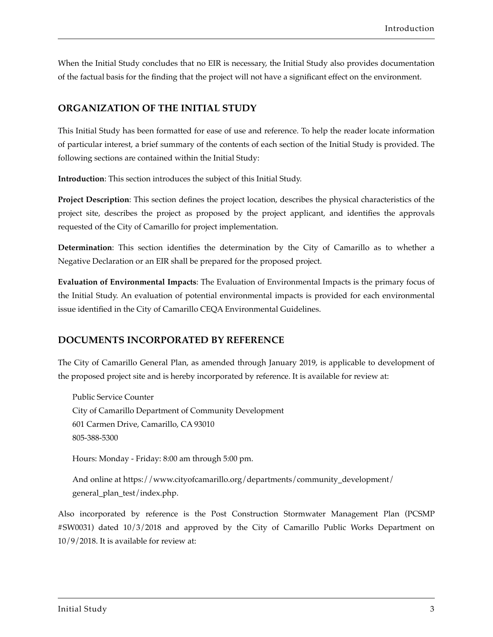When the Initial Study concludes that no EIR is necessary, the Initial Study also provides documentation of the factual basis for the finding that the project will not have a significant effect on the environment.

### **ORGANIZATION OF THE INITIAL STUDY**

This Initial Study has been formatted for ease of use and reference. To help the reader locate information of particular interest, a brief summary of the contents of each section of the Initial Study is provided. The following sections are contained within the Initial Study:

**Introduction**: This section introduces the subject of this Initial Study.

**Project Description**: This section defines the project location, describes the physical characteristics of the project site, describes the project as proposed by the project applicant, and identifies the approvals requested of the City of Camarillo for project implementation.

**Determination**: This section identifies the determination by the City of Camarillo as to whether a Negative Declaration or an EIR shall be prepared for the proposed project.

**Evaluation of Environmental Impacts**: The Evaluation of Environmental Impacts is the primary focus of the Initial Study. An evaluation of potential environmental impacts is provided for each environmental issue identified in the City of Camarillo CEQA Environmental Guidelines.

### **DOCUMENTS INCORPORATED BY REFERENCE**

The City of Camarillo General Plan, as amended through January 2019, is applicable to development of the proposed project site and is hereby incorporated by reference. It is available for review at:

Public Service Counter City of Camarillo Department of Community Development 601 Carmen Drive, Camarillo, CA 93010 805-388-5300

Hours: Monday - Friday: 8:00 am through 5:00 pm.

And online at https://www.cityofcamarillo.org/departments/community\_development/ general\_plan\_test/index.php.

Also incorporated by reference is the Post Construction Stormwater Management Plan (PCSMP #SW0031) dated 10/3/2018 and approved by the City of Camarillo Public Works Department on 10/9/2018. It is available for review at: